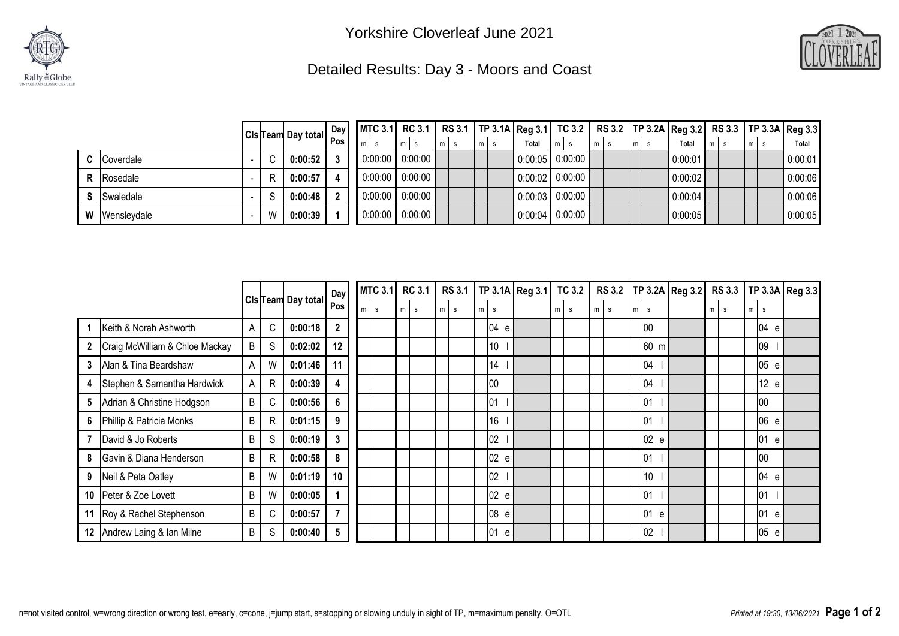



## Detailed Results: Day 3 - Moors and Coast

|   |                    | $ Cls$ Team Day total $\left \frac{Day}{Pos}\right $ |         | Day |         |                   |                |  | MTC 3.1 RC 3.1 RS 3.1   TP 3.1A Reg 3.1 TC 3.2   RS 3.2   TP 3.2A Reg 3.2 RS 3.3   TP 3.3A Reg 3.3 |  |       |                   |       |  |       |  |         |                 |  |       |  |         |
|---|--------------------|------------------------------------------------------|---------|-----|---------|-------------------|----------------|--|----------------------------------------------------------------------------------------------------|--|-------|-------------------|-------|--|-------|--|---------|-----------------|--|-------|--|---------|
|   |                    |                                                      |         |     | $m$ s   | $m \mid s$        | m <sub>1</sub> |  | m <sub>l</sub>                                                                                     |  | Total | $m$ s             | $m$ s |  | $m$ s |  | Total   | $\mathsf{Im}$ s |  | $m$ s |  | Total   |
|   | <b>C</b> Coverdale |                                                      | 0:00:52 |     |         | $0:00:00$ 0:00:00 |                |  |                                                                                                    |  |       | $0:00:05$ 0:00:00 |       |  |       |  | 0:00:01 |                 |  |       |  | 0:00:01 |
|   | <b>R</b> Rosedale  |                                                      | 0:00:57 |     | 0:00:00 | 0:00:00           |                |  |                                                                                                    |  |       | $0:00:02$ 0:00:00 |       |  |       |  | 0:00:02 |                 |  |       |  | 0:00:06 |
|   | <b>S</b> Swaledale |                                                      | 0:00:48 |     |         | $0:00:00$ 0:00:00 |                |  |                                                                                                    |  |       | $0:00:03$ 0:00:00 |       |  |       |  | 0:00:04 |                 |  |       |  | 0:00:06 |
| W | Wensleydale        | W                                                    | 0:00:39 |     | 0:00:00 | 0:00:00           |                |  |                                                                                                    |  |       | $0.00.04$ 0.00:00 |       |  |       |  | 0:00:05 |                 |  |       |  | 0:00:05 |

|    |                                |         |              |                           | Day            |   | <b>MTC 3.1</b> | <b>RC 3.1</b> | <b>RS 3.1</b> |   |           | $TP$ 3.1A Reg 3.1 TC 3.2 |       |       |   |                 | RS 3.2   TP 3.2A   Reg 3.2 |   |   | RS 3.3   TP 3.3A   Reg 3.3 |          |  |
|----|--------------------------------|---------|--------------|---------------------------|----------------|---|----------------|---------------|---------------|---|-----------|--------------------------|-------|-------|---|-----------------|----------------------------|---|---|----------------------------|----------|--|
|    |                                |         |              | <b>CIs Team Day total</b> | Pos            | m | s              | $m \mid s$    | $m \mid s$    | m | $\vert$ s |                          | $m$ s | $m$ s | m | l s             |                            | m | s | m <sub>l</sub>             | <b>S</b> |  |
|    | Keith & Norah Ashworth         | A       | C            | 0:00:18                   | $\overline{2}$ |   |                |               |               |   | 04 e      |                          |       |       |   | 00              |                            |   |   |                            | 04 e     |  |
|    | Craig McWilliam & Chloe Mackay | $\sf B$ | S            | 0:02:02                   | 12             |   |                |               |               |   | 10        |                          |       |       |   | 60 m            |                            |   |   |                            | 09       |  |
| 3  | Alan & Tina Beardshaw          | A       | W            | 0:01:46                   | 11             |   |                |               |               |   | 14        |                          |       |       |   | 04              |                            |   |   |                            | 05 e     |  |
| 4  | Stephen & Samantha Hardwick    | A       | $\mathsf{R}$ | 0:00:39                   | 4              |   |                |               |               |   | 00        |                          |       |       |   | 04              |                            |   |   |                            | 12 e     |  |
| 5  | Adrian & Christine Hodgson     | B       | C            | 0:00:56                   | 6              |   |                |               |               |   | 01        |                          |       |       |   | 01              |                            |   |   |                            | 00       |  |
| 6  | Phillip & Patricia Monks       | $\sf B$ | $\mathsf{R}$ | 0:01:15                   | 9              |   |                |               |               |   | 16        |                          |       |       |   | 01              |                            |   |   |                            | 06 e     |  |
|    | David & Jo Roberts             | B       | S            | 0:00:19                   | 3              |   |                |               |               |   | 02        |                          |       |       |   | 02 e            |                            |   |   |                            | 01 e     |  |
| 8  | Gavin & Diana Henderson        | $\sf B$ | $\mathsf{R}$ | 0:00:58                   | 8              |   |                |               |               |   | 02 e      |                          |       |       |   | 01              |                            |   |   |                            | 00       |  |
| 9  | Neil & Peta Oatley             | B       | W            | 0:01:19                   | 10             |   |                |               |               |   | 02        |                          |       |       |   | 10 <sup>°</sup> |                            |   |   |                            | 04 e     |  |
| 10 | Peter & Zoe Lovett             | B       | W            | 0:00:05                   |                |   |                |               |               |   | 02 e      |                          |       |       |   | 01              |                            |   |   |                            | 01       |  |
| 11 | Roy & Rachel Stephenson        | $\sf B$ | C            | 0:00:57                   | 7              |   |                |               |               |   | 08 e      |                          |       |       |   | 01 e            |                            |   |   |                            | 01<br>e  |  |
| 12 | Andrew Laing & Ian Milne       | B       | S            | 0:00:40                   | 5              |   |                |               |               |   | 01<br>e   |                          |       |       |   | 02              |                            |   |   |                            | 05 e     |  |